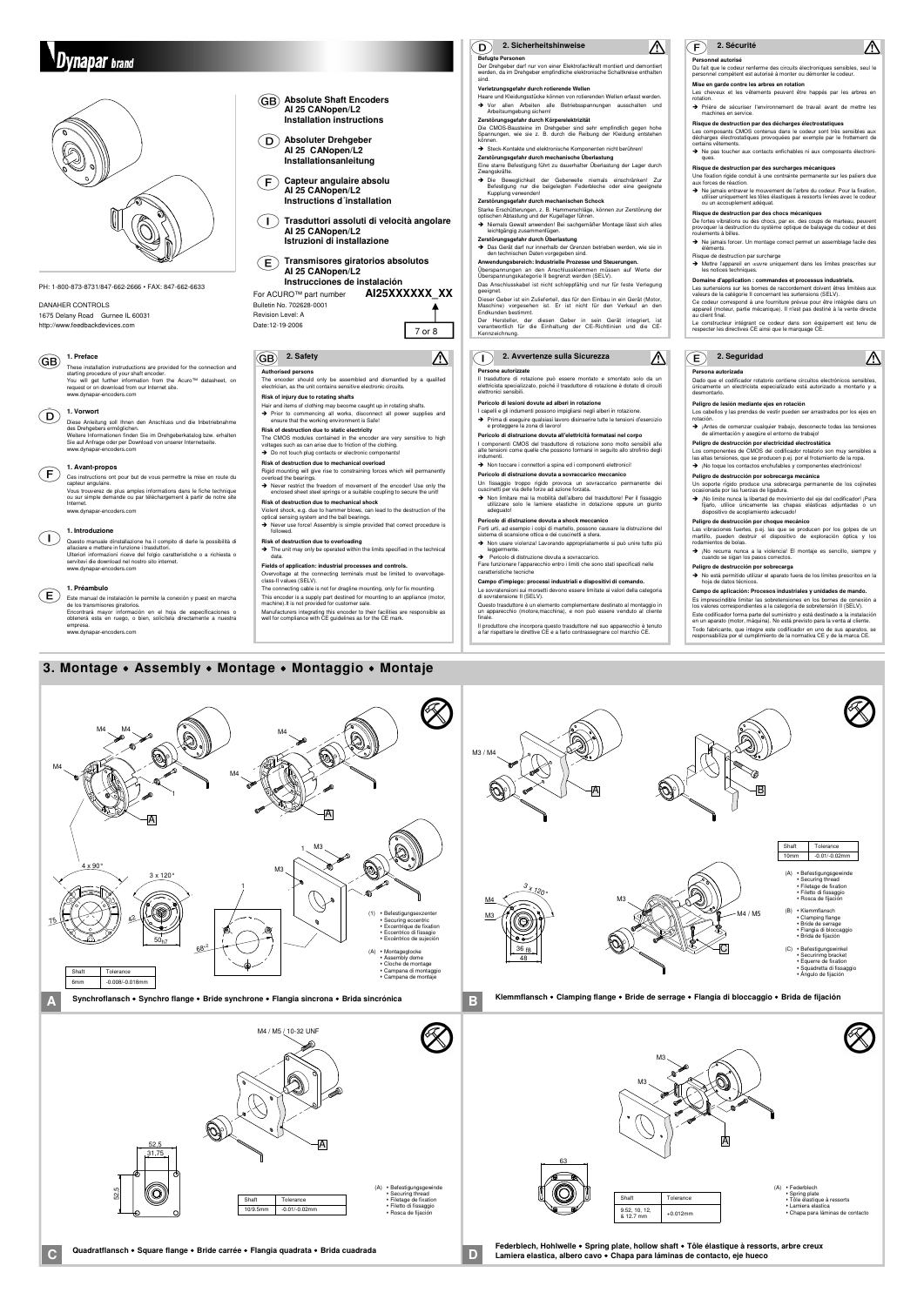A

M4

M4

52,5 52,5 31,75 A (A) • Befestigungsgewinde<br>• Securing thread<br>• Filetage de fixation<br>• Filetto di fissaggio Rosca de fijación Shaft Tolerance  $-0.01/-0.0$ 

M<sub>3</sub>

 $\bigvee$ 

 $\bullet$ 

M4

1

Q)

M4 / M5 / 10-32 UNF

M4 <u>мз</u> M3

 $\overline{A}$   $\overline{Q}$ 

48

3 x 120°

4 x 90°

75

3 x 120°

50<sub>h7</sub>

42

1

M3 / M4

36 <sub>f8</sub>

O

M3

1

A

X

foy

M4

M4

## **2. Safety**

**Authorised persons** The encoder should only be assembled and dismantled by a qualifed electrician, as the unit contains sensitive electronic circuits.

The CMOS modules contained in the encoder are very sensitive to high voltages such as can arise due to friction of the clothing.  $\rightarrow$  Do not touch plug contacts or electronic componants!

#### **Risk of injury due to rotating shafts**

Hair and items of clothing may become caught up in rotating shafts. Prior to commencing all works, disconnect all power supplies and ensure that the working environment is Safe! **Risk of destruction due to static electricity**

Violent shock, e.g. due to hammer blows, can lead to the destruction of the optical sensing system and the ball bearings.  $\rightarrow$  Never use force! Assembly is simple provided that correct procedure is

#### $\rightarrow$  The unit may only be operated within the limits specified in the technical data.

**Risk of destruction due to mechanical overload** Rigid mounting will give rise to constraining forces which will permanently overload the bearings.

Never restrict the freedom of movement of the encoder! Use only the enclosed sheet steel springs or a suitable coupling to secure the unit!

**Risk of destruction due to mechanical shock**

 $(\bm{\mathsf{E}})$ **Transmisores giratorios absolutos AI 25 CANopen/L2 Instrucciones de instalación**

#### **1. Preface**  $(GB)$

followed. **Risk of destruction due to overloading**

#### **1. Vorwort**  $(\mathsf{D})$

#### **1. Avant-propos**  $(F)$

**Fields of application: industrial processes and controls.** Overvoltage at the connecting terminals must be limited to overvoltage-class-II values (SELV).

The connecting cable is not for dragline mounting, only for fix mounting.

#### **1. Introduzione**  $\left(\begin{array}{c} \end{array}\right)$

This encoder is a supply part destined for mounting to an appliance (motor, machine).It is not provided for customer sale.

#### **1. Préambulo**  $(\mathsf{E})$

Manufacturers integrating this encoder to their facilities are responsible as well for compliance with CE guidelines as for the CE mark.

(Q)

Este manual de instalación le permite la conexión y puest en marcha<br>de los transmisores giratorios.<br>Encontrará mayor información en el hoja de especificaciones o<br>obtenerá esta en ruego, o bien, solicitela directamente a nu www.dynapar-encoders.com

## **Vnabar** brand



PH: 1-800-873-8731/847-662-2666 • FAX: 847-662-6633

#### DANAHER CONTROLS

1675 Delany Road Gurnee IL 60031 http://www.feedbackdevices.com

**Absolute Shaft Encoders AI 25 CANopen/L2 Installation instructions**

**Absoluter Drehgeber AI 25 CANopen/L2 Installationsanleitung**

**Capteur angulaire absolu**  $(\mathsf{F})$ **AI 25 CANopen/L2 Instructions d´installation**

**Trasduttori assoluti di velocità angolare**  $(\bot)$ **AI 25 CANopen/L2 Istruzioni di installazione**

De fortes vibrations ou des chocs, par ex. des coups de marteau, peuvent provoquer la destruction du système optique de balayage du codeur et des ements à billes. → Ne jamais forcer. Un montage correct permet un assemblage facile des

For ACURO™ part number **AI25XXXXXX\_XX** Bulletin No. 702628-0001 Revision Level: A Date:12-19-2006

These installation instruductions are provided for the connection and starting procedure of your shaft encoder.<br>You will get further information from the Acuro™ datasheet, on<br>request or on download from our Internet site. www.dynapar-encoders.com

Diese Anleitung soll Ihnen den Anschluss und die Inbetriebnahme des Drehgebers ermöglichen. Weitere Informationen finden Sie im Drehgeberkatalog bzw. erhalten Sie auf Anfrage oder per Download von unserer Internetseite. www.dynapar-encoders.com

Dado que el codificador rotatorio contiene circuitos electrónicos sensibles<br>únicamente un electricista especializado está autorizado a montarlo y únicamente un electricista especializado está autorizado a montarlo y a desmontarlo.

Ces instructions ont pour but de vous permettre la mise en route du capteur angulaire. Vous trouverez de plus amples informations dans le fiche technique ou sur simple demande ou par téléchargement à partir de notre site Internet. www.dynapar-encoders.com

fijarlo, utilice únicamente las chapas elásticas adjuntadas o dispositivo de acoplamiento adecuado! **Peligro de destrucción por choque mecánico**

→ ¡No recurra nunca a la violencia! El montaje es sencillo, siempre y

Questo manuale dínstallazione ha il compito di darle la possibilità di allaciare e mettere in funzione i trasduttori. Ulteriori informazioni riceve del folgio caratteristiche o a richiesta o servitevi die download nel nostro sito internet. www.dynapar-encoders.com

### **2. Sécurité**

 $\Delta$ 

**Peligro de destrucción por sobrecarga**<br>→ No está permitido utilizar el aparato fuera de los límites prescritos en la<br>hoja de datos técnicos. **Campo de aplicación: Procesos industriales y unidades de mando.** Es imprescindible limitar las sobretensiones en los bornes de conexión a los valores correspondientes a la categoría de sobretensión II (SELV). Este codificador forma parte del suministro y está destinado a la instalación en un aparato (motor, máquina). No está previsto para la venta al cliente. Todo fabricante, que integre este codificador en uno de sus aparatos, se responsabiliza por el cumplimiento de la normativa CE y de la marca CE.

#### $\circledcirc$ **2. Avvertenze sulla Sicurezza**

#### **Personnel autorisé**

Du fait que le codeur renferme des circuits électroniques sensibles, seul le personnel compétent est autorisé à monter ou démonter le codeur.

 $\bigwedge$ 

 $\Delta$ 

#### **Mise en garde contre les arbres en rotation**

I componenti CMOS del trasduttore di rotazione sono molto sensibili alle alte tensioni come quelle che possono formarsi in seguito allo strofinio degli ane tens.<br>indumenti

#### → Non toccare i connettori a spina ed i componenti elettronici!

Les cheveux et les vêtements peuvent être happés par les arbres en rotation. Prière de sécuriser I'environnement de travail avant de mettre les machines en service.

#### **Risque de destruction par des décharges électrostatiques**

Les composants CMOS contenus dans le codeur sont très sensibles aux décharges électrostatiques provoquées par exemple par le frottement de certains vêtements.

#### $\rightarrow$  Ne pas toucher aux contacts enfichables ni aux composants électroniques

→ Non limitare mai la mobilità dell'albero del trasduttore! Per il fissaggio utilizzare solo le lamiere elastiche in dotazione oppure un giunto adeguato! **Risque de destruction par des surcharges mécaniques**

Une fixation rigide conduit à une contrainte permanente sur les paliers due aux forces de réaction. Ne jamais entraver le mouvement de l'arbre du codeur. Pour la fixation, utiliser uniquement les tôles élastiques à ressorts livrées avec le codeur ou un accouplement adéquat.

- Le sovratensioni sui morsetti devono essere limitate ai valori della categoria di sovratensione II (SELV). di sovratensione II (SELV). Questo trasduttore è un elemento complementare destinato al montaggio in un apparecchio (motore,macchina), e non può essere venduto al cliente finale.
- 

#### **Risque de destruction par des chocs mécaniques**

éléments.

Risque de destruction par surcharge<br>→ Mettre l'appareil en œuvre uniquement dans les limites prescrites sur<br>les notices techniques.

(A) • Befestigungsgewinde Securing thread Filetage de fixation Filetto di fissaggio Rosca de fijación (B) Klemmflansch

Shaft Tolerance  $-0.01/-0.02$ 

#### **Domaine d'application : commandes et processus industriels.**

Les surtensions sur les bornes de raccordement doivent êtres limitées aux<br>valeurs de la catégorie II concernant les surtensions (SELV) valeurs de la catégorie II concernant les surtensions (SELV).<br>Ce codeur correspond à une fourniture prévue pour être intégrée dans un<br>appareil (moteur, partie mécanique). Il n'est pas destiné à la vente directe<br>au client f

> (C) + Befestigungswinkel Securinmg bracket Equerre de fixation Squadretta di fissaggio Ángulo de fijación

#### **2. Sicherheitshinweise**  $\Omega$

Le constructeur intégrant ce codeur dans son équipement est tenu de respecter les directives CE ainsi que le marquage CE.

## **2. Seguridad**

#### **Persona autorizada**

 $\Delta$ 

#### **Peligro de lesión mediante ejes en rotación**

Los cabellos y las prendas de vestir pueden ser arrastrados por los ejes en rotación.

¡Antes de comenzar cualquier trabajo, desconecte todas las tensiones de alimentación y asegúre el entorno de trabajo!

Dieser Geber ist ein Zulieferteil, das für den Einbau in ein Gerät (Motor, Maschine) vorgesehen ist. Er ist nicht für den Verkauf an den Endkunden bestimmt. Der Hersteller, der diesen Geber in sein Gerät integriert, ist verantwortlich für die Einhaltung der CE-Richtlinien und die CE-7 or 8 Kennzeichnung.

> **Peligro de destrucción por electricidad electrostática** Los componentes de CMOS del codificador rotatorio son muy sensibles a las altas tensiones, que se producen p.ej. por el frotamiento de la ropa.

→ ¡No toque los contactos enchufables y componentes electrónicos!

### **Peligro de destrucción por sobrecarga mecánica**



 $\overline{C}$ 

 $-M4 / M5$ 

Un soporte rígido produce una sobrecarga permanente de los cojinetes ocasionada por las fuerzas de ligadura. ¡No limite nunca la libertad de movimiento del eje del codificador! ¡Para

# Las vibraciones fuertes, p.ej. las que se producen por los golpes de un martillo, pueden destruir el dispositivo de exploración óptica y los rodamientos de bolas.

cuando se sigan los pasos correctos.

**Persone autorizzate**

 $\overline{\mathbb{A}}$ 

Il trasduttore di rotazione può essere montato e smontato solo da un elettricista specializzato, poiché il trasduttore di rotazione è dotato di circuiti elettronici sensibili. **Pericolo di lesioni dovute ad alberi in rotazione**

I capelli e gli indumenti possono impigliarsi negli alberi in rotazione. Prima di eseguire qualsiasi lavoro disinserire tutte le tensioni d'esercizio e proteggere la zona di lavoro!

#### **Pericolo di distruzione dovuta all'elettricità formatasi nel corpo**

**Pericolo di distruzione dovuta a sovraccarico meccanico**

Un fissaggio troppo rigido provoca un sovraccarico permanente dei cuscinetti per via delle forze ad azione forzata.

#### **Pericolo di distruzione dovuta a shock meccanico**

- Forti urti, ad esempio i colpi di martello, possono causare la distruzione del sistema di scansione ottica e dei cuscinetti a sfera. → Non usare violenza! Lavorando appropriatamente si può unire tutto più
- leggermente  $\rightarrow$  Pericolo di distruzione dovuta a sovraccarico.
- Fare funzionare l'apparecchio entro i limiti che sono stati specificati nelle caratteristiche tecniche

### **Campo d'impiego: processi industriali e dispositivi di comando.**

Il produttore che incorpora questo trasduttore nel suo apparecchio è tenuto a far rispettare le direttive CE e a farlo contrassegnare col marchio CE.

**3. Montage Assembly Montage Montaggio Montaje**

**Federblech, Hohlwelle Spring plate, hollow shaft Tôle élastique à ressorts, arbre creux Lamiera elastica, albero cavo Chapa para láminas de contacto, eje hueco**

**Quadratflansch Square flange Bride carrée Flangia quadrata Brida cuadrada C D**

(1) Befestigungsexzenter Securing eccentric · Occuring coccilino<br>▶ Excentrique de fixation Eccentrico di fissagio Excéntrico de sujeción

Q

 $\circledS$ 

(A) Montageglocke Assembly dome Cloche de montage Campana di montaggio Campana de montaje Clamping flange Bride de serrage Flangia di bloccaggio Brida de fijación



 $68^{+2}$ 

**Befugte Personen** Der Drehgeber darf nur von einer Elektrofachkraft montiert und demontiert werden, da im Drehgeber empfindliche elektronische Schaltkreise enthalten sind.

### **Verletzungsgefahr durch rotierende Wellen**

Haare und Kleidungsstücke können von rotierenden Wellen erfasst werden. Vor allen Arbeiten alle Betriebsspannungen ausschalten und Arbeitsumgebung sichern!

**Zerstörungsgefahr durch Körperelektrizität**<br>Die CMOS-Bausteine im Drehgeber sind sehr empfindlich gegen hohe<br>Spannungen, wie sie z. B. durch die Reibung der Kleidung entstehen<br>können.

#### Steck-Kontakte und elektronische Komponenten nicht berühren! **Zerstörungsgefahr durch mechanische Überlastung**

Eine starre Befestigung führt zu dauerhafter Überlastung der Lager durch Zwangskräfte.

 Die Beweglichkeit der Geberwelle niemals einschränken! Zur Befestigung nur die beigelegten Federbleche oder eine geeignete Kupplung verwenden! **Zerstörungsgefahr durch mechanischen Schock**

Starke Erschütterungen, z. B. Hammerschläge, können zur Zerstörung der optischen Abtastung und der Kugellager führen.

Niemals Gewalt anwenden! Bei sachgemäßer Montage lässt sich alles leichtgängig zusammenfügen.

### **Zerstörungsgefahr durch Überlastung**

 Das Gerät darf nur innerhalb der Grenzen betrieben werden, wie sie in den technischen Daten vorgegeben sind. **Anwendungsbereich: Industrielle Prozesse und Steuerungen.**

Überspannungen an den Anschlussklemmen müssen auf Werte der Überspannungskategorie II begrenzt werden (SELV).

Das Anschlusskabel ist nicht schleppfähig und nur für feste Verlegung geeignet.

Shaft Tolerance 6mm -0.008/-0.018mm